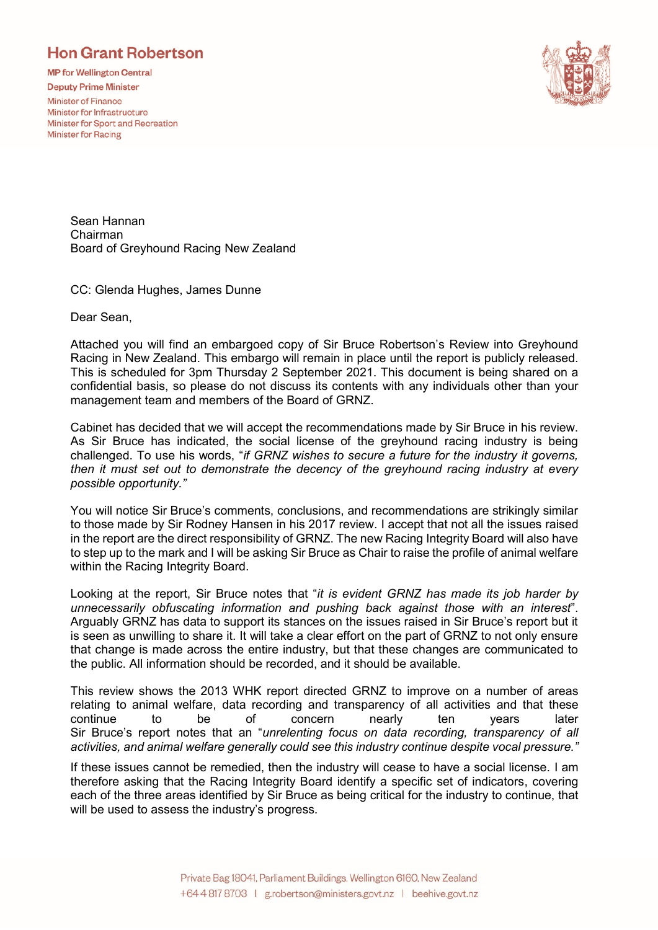## **Hon Grant Robertson**

**MP for Wellington Central** 

**Deputy Prime Minister** 

**Minister of Finance** Minister for Infrastructure Minister for Sport and Recreation **Minister for Racing** 



Sean Hannan Chairman Board of Greyhound Racing New Zealand

CC: Glenda Hughes, James Dunne

Dear Sean,

Attached you will find an embargoed copy of Sir Bruce Robertson's Review into Greyhound Racing in New Zealand. This embargo will remain in place until the report is publicly released. This is scheduled for 3pm Thursday 2 September 2021. This document is being shared on a confidential basis, so please do not discuss its contents with any individuals other than your management team and members of the Board of GRNZ.

Cabinet has decided that we will accept the recommendations made by Sir Bruce in his review. As Sir Bruce has indicated, the social license of the greyhound racing industry is being challenged. To use his words, "*if GRNZ wishes to secure a future for the industry it governs, then it must set out to demonstrate the decency of the greyhound racing industry at every possible opportunity."*

You will notice Sir Bruce's comments, conclusions, and recommendations are strikingly similar to those made by Sir Rodney Hansen in his 2017 review. I accept that not all the issues raised in the report are the direct responsibility of GRNZ. The new Racing Integrity Board will also have to step up to the mark and I will be asking Sir Bruce as Chair to raise the profile of animal welfare within the Racing Integrity Board.

Looking at the report, Sir Bruce notes that "*it is evident GRNZ has made its job harder by unnecessarily obfuscating information and pushing back against those with an interest*". Arguably GRNZ has data to support its stances on the issues raised in Sir Bruce's report but it is seen as unwilling to share it. It will take a clear effort on the part of GRNZ to not only ensure that change is made across the entire industry, but that these changes are communicated to the public. All information should be recorded, and it should be available.

This review shows the 2013 WHK report directed GRNZ to improve on a number of areas relating to animal welfare, data recording and transparency of all activities and that these continue to be of concern nearly ten years later Sir Bruce's report notes that an "*unrelenting focus on data recording, transparency of all activities, and animal welfare generally could see this industry continue despite vocal pressure."*

If these issues cannot be remedied, then the industry will cease to have a social license. I am therefore asking that the Racing Integrity Board identify a specific set of indicators, covering each of the three areas identified by Sir Bruce as being critical for the industry to continue, that will be used to assess the industry's progress.